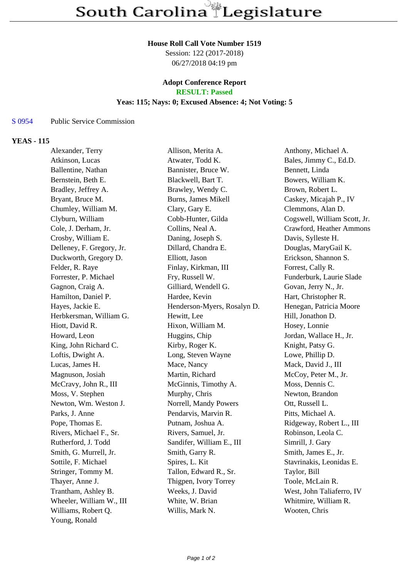#### **House Roll Call Vote Number 1519**

Session: 122 (2017-2018) 06/27/2018 04:19 pm

# **Adopt Conference Report**

## **RESULT: Passed**

### **Yeas: 115; Nays: 0; Excused Absence: 4; Not Voting: 5**

#### S 0954 Public Service Commission

#### **YEAS - 115**

| Alexander, Terry          | Allison, Merita A.          | Anthony, Michael A.          |
|---------------------------|-----------------------------|------------------------------|
| Atkinson, Lucas           | Atwater, Todd K.            | Bales, Jimmy C., Ed.D.       |
| Ballentine, Nathan        | Bannister, Bruce W.         | Bennett, Linda               |
| Bernstein, Beth E.        | Blackwell, Bart T.          | Bowers, William K.           |
| Bradley, Jeffrey A.       | Brawley, Wendy C.           | Brown, Robert L.             |
| Bryant, Bruce M.          | Burns, James Mikell         | Caskey, Micajah P., IV       |
| Chumley, William M.       | Clary, Gary E.              | Clemmons, Alan D.            |
| Clyburn, William          | Cobb-Hunter, Gilda          | Cogswell, William Scott, Jr. |
| Cole, J. Derham, Jr.      | Collins, Neal A.            | Crawford, Heather Ammons     |
| Crosby, William E.        | Daning, Joseph S.           | Davis, Sylleste H.           |
| Delleney, F. Gregory, Jr. | Dillard, Chandra E.         | Douglas, MaryGail K.         |
| Duckworth, Gregory D.     | Elliott, Jason              | Erickson, Shannon S.         |
| Felder, R. Raye           | Finlay, Kirkman, III        | Forrest, Cally R.            |
| Forrester, P. Michael     | Fry, Russell W.             | Funderburk, Laurie Slade     |
| Gagnon, Craig A.          | Gilliard, Wendell G.        | Govan, Jerry N., Jr.         |
| Hamilton, Daniel P.       | Hardee, Kevin               | Hart, Christopher R.         |
| Hayes, Jackie E.          | Henderson-Myers, Rosalyn D. | Henegan, Patricia Moore      |
| Herbkersman, William G.   | Hewitt, Lee                 | Hill, Jonathon D.            |
| Hiott, David R.           | Hixon, William M.           | Hosey, Lonnie                |
| Howard, Leon              | Huggins, Chip               | Jordan, Wallace H., Jr.      |
| King, John Richard C.     | Kirby, Roger K.             | Knight, Patsy G.             |
| Loftis, Dwight A.         | Long, Steven Wayne          | Lowe, Phillip D.             |
| Lucas, James H.           | Mace, Nancy                 | Mack, David J., III          |
| Magnuson, Josiah          | Martin, Richard             | McCoy, Peter M., Jr.         |
| McCravy, John R., III     | McGinnis, Timothy A.        | Moss, Dennis C.              |
| Moss, V. Stephen          | Murphy, Chris               | Newton, Brandon              |
| Newton, Wm. Weston J.     | Norrell, Mandy Powers       | Ott, Russell L.              |
| Parks, J. Anne            | Pendarvis, Marvin R.        | Pitts, Michael A.            |
| Pope, Thomas E.           | Putnam, Joshua A.           | Ridgeway, Robert L., III     |
| Rivers, Michael F., Sr.   | Rivers, Samuel, Jr.         | Robinson, Leola C.           |
| Rutherford, J. Todd       | Sandifer, William E., III   | Simrill, J. Gary             |
| Smith, G. Murrell, Jr.    | Smith, Garry R.             | Smith, James E., Jr.         |
| Sottile, F. Michael       | Spires, L. Kit              | Stavrinakis, Leonidas E.     |
| Stringer, Tommy M.        | Tallon, Edward R., Sr.      | Taylor, Bill                 |
| Thayer, Anne J.           | Thigpen, Ivory Torrey       | Toole, McLain R.             |
| Trantham, Ashley B.       | Weeks, J. David             | West, John Taliaferro, IV    |
| Wheeler, William W., III  | White, W. Brian             | Whitmire, William R.         |
| Williams, Robert Q.       | Willis, Mark N.             | Wooten, Chris                |
| Young, Ronald             |                             |                              |